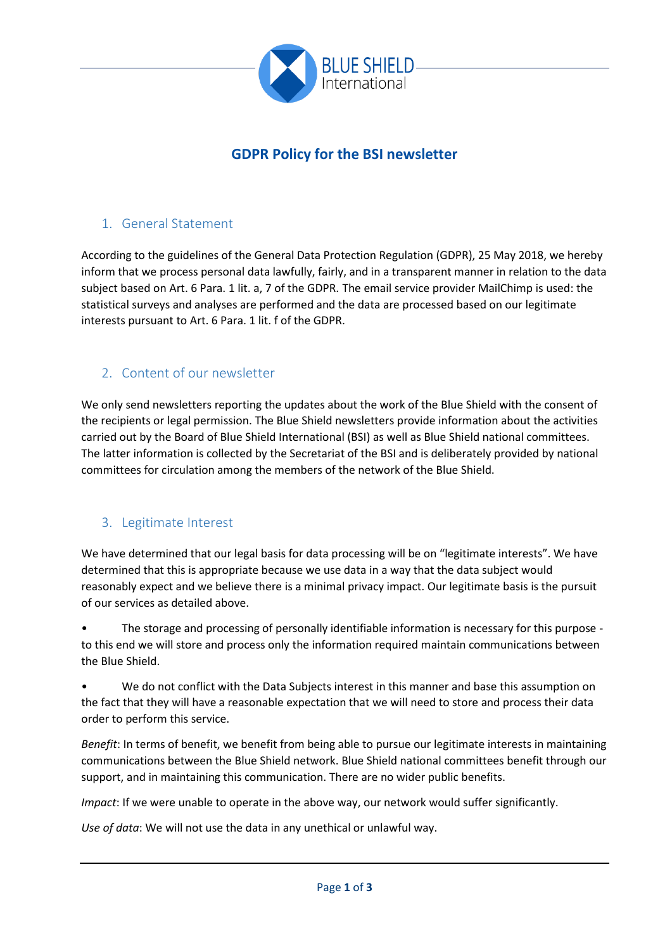

# **GDPR Policy for the BSI newsletter**

## 1. General Statement

According to the guidelines of the General Data Protection Regulation (GDPR), 25 May 2018, we hereby inform that we process personal data lawfully, fairly, and in a transparent manner in relation to the data subject based on Art. 6 Para. 1 lit. a, 7 of the GDPR. The email service provider MailChimp is used: the statistical surveys and analyses are performed and the data are processed based on our legitimate interests pursuant to Art. 6 Para. 1 lit. f of the GDPR.

## 2. Content of our newsletter

We only send newsletters reporting the updates about the work of the Blue Shield with the consent of the recipients or legal permission. The Blue Shield newsletters provide information about the activities carried out by the Board of Blue Shield International (BSI) as well as Blue Shield national committees. The latter information is collected by the Secretariat of the BSI and is deliberately provided by national committees for circulation among the members of the network of the Blue Shield.

#### 3. Legitimate Interest

We have determined that our legal basis for data processing will be on "legitimate interests". We have determined that this is appropriate because we use data in a way that the data subject would reasonably expect and we believe there is a minimal privacy impact. Our legitimate basis is the pursuit of our services as detailed above.

• The storage and processing of personally identifiable information is necessary for this purpose to this end we will store and process only the information required maintain communications between the Blue Shield.

• We do not conflict with the Data Subjects interest in this manner and base this assumption on the fact that they will have a reasonable expectation that we will need to store and process their data order to perform this service.

*Benefit*: In terms of benefit, we benefit from being able to pursue our legitimate interests in maintaining communications between the Blue Shield network. Blue Shield national committees benefit through our support, and in maintaining this communication. There are no wider public benefits.

*Impact*: If we were unable to operate in the above way, our network would suffer significantly.

*Use of data*: We will not use the data in any unethical or unlawful way.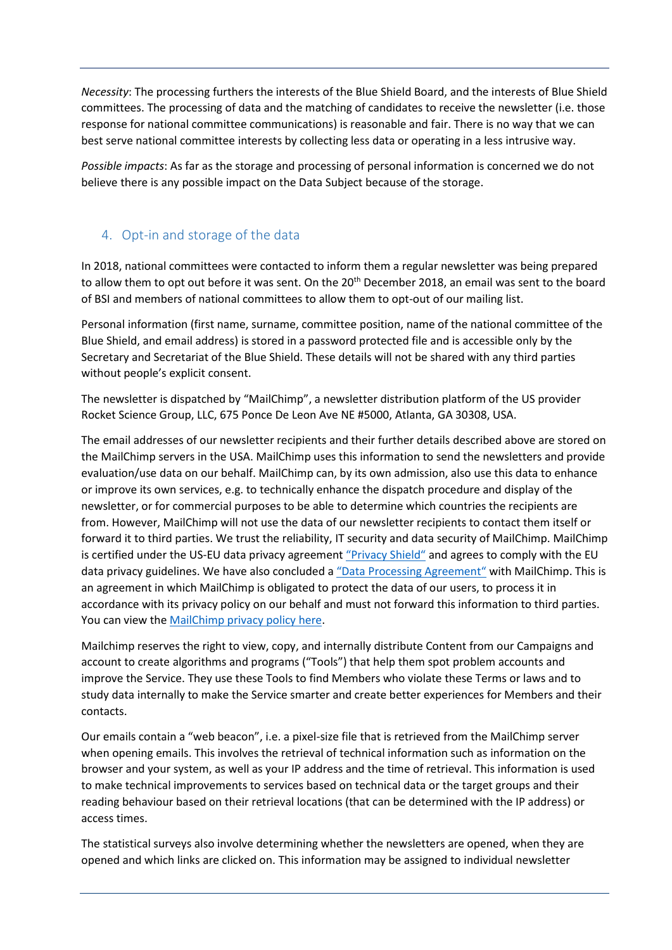*Necessity*: The processing furthers the interests of the Blue Shield Board, and the interests of Blue Shield committees. The processing of data and the matching of candidates to receive the newsletter (i.e. those response for national committee communications) is reasonable and fair. There is no way that we can best serve national committee interests by collecting less data or operating in a less intrusive way.

*Possible impacts*: As far as the storage and processing of personal information is concerned we do not believe there is any possible impact on the Data Subject because of the storage.

## 4. Opt-in and storage of the data

In 2018, national committees were contacted to inform them a regular newsletter was being prepared to allow them to opt out before it was sent. On the 20<sup>th</sup> December 2018, an email was sent to the board of BSI and members of national committees to allow them to opt-out of our mailing list.

Personal information (first name, surname, committee position, name of the national committee of the Blue Shield, and email address) is stored in a password protected file and is accessible only by the Secretary and Secretariat of the Blue Shield. These details will not be shared with any third parties without people's explicit consent.

The newsletter is dispatched by "MailChimp", a newsletter distribution platform of the US provider Rocket Science Group, LLC, 675 Ponce De Leon Ave NE #5000, Atlanta, GA 30308, USA.

The email addresses of our newsletter recipients and their further details described above are stored on the MailChimp servers in the USA. MailChimp uses this information to send the newsletters and provide evaluation/use data on our behalf. MailChimp can, by its own admission, also use this data to enhance or improve its own services, e.g. to technically enhance the dispatch procedure and display of the newsletter, or for commercial purposes to be able to determine which countries the recipients are from. However, MailChimp will not use the data of our newsletter recipients to contact them itself or forward it to third parties. We trust the reliability, IT security and data security of MailChimp. MailChimp is certified under the US-EU data privacy agreement ["Privacy Shield"](https://www.privacyshield.gov/participant?id=a2zt0000000TO6hAAG) and agrees to comply with the EU data privacy guidelines. We have also concluded a ["Data Processing Agreement"](https://mailchimp.com/legal/forms/data-processing-agreement/) with MailChimp. This is an agreement in which MailChimp is obligated to protect the data of our users, to process it in accordance with its privacy policy on our behalf and must not forward this information to third parties. You can view the [MailChimp privacy policy here.](https://mailchimp.com/legal/privacy/)

Mailchimp reserves the right to view, copy, and internally distribute Content from our Campaigns and account to create algorithms and programs ("Tools") that help them spot problem accounts and improve the Service. They use these Tools to find Members who violate these Terms or laws and to study data internally to make the Service smarter and create better experiences for Members and their contacts.

Our emails contain a "web beacon", i.e. a pixel-size file that is retrieved from the MailChimp server when opening emails. This involves the retrieval of technical information such as information on the browser and your system, as well as your IP address and the time of retrieval. This information is used to make technical improvements to services based on technical data or the target groups and their reading behaviour based on their retrieval locations (that can be determined with the IP address) or access times.

The statistical surveys also involve determining whether the newsletters are opened, when they are opened and which links are clicked on. This information may be assigned to individual newsletter